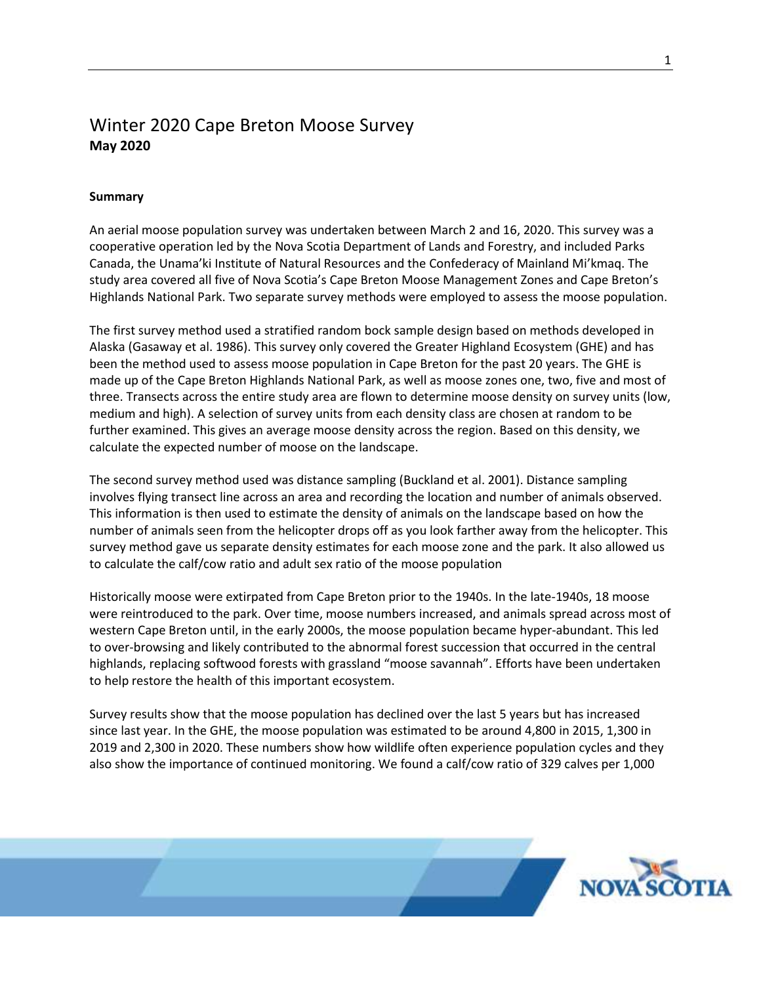## Winter 2020 Cape Breton Moose Survey **May 2020**

## **Summary**

An aerial moose population survey was undertaken between March 2 and 16, 2020. This survey was a cooperative operation led by the Nova Scotia Department of Lands and Forestry, and included Parks Canada, the Unama'ki Institute of Natural Resources and the Confederacy of Mainland Mi'kmaq. The study area covered all five of Nova Scotia's Cape Breton Moose Management Zones and Cape Breton's Highlands National Park. Two separate survey methods were employed to assess the moose population.

The first survey method used a stratified random bock sample design based on methods developed in Alaska (Gasaway et al. 1986). This survey only covered the Greater Highland Ecosystem (GHE) and has been the method used to assess moose population in Cape Breton for the past 20 years. The GHE is made up of the Cape Breton Highlands National Park, as well as moose zones one, two, five and most of three. Transects across the entire study area are flown to determine moose density on survey units (low, medium and high). A selection of survey units from each density class are chosen at random to be further examined. This gives an average moose density across the region. Based on this density, we calculate the expected number of moose on the landscape.

The second survey method used was distance sampling (Buckland et al. 2001). Distance sampling involves flying transect line across an area and recording the location and number of animals observed. This information is then used to estimate the density of animals on the landscape based on how the number of animals seen from the helicopter drops off as you look farther away from the helicopter. This survey method gave us separate density estimates for each moose zone and the park. It also allowed us to calculate the calf/cow ratio and adult sex ratio of the moose population

Historically moose were extirpated from Cape Breton prior to the 1940s. In the late-1940s, 18 moose were reintroduced to the park. Over time, moose numbers increased, and animals spread across most of western Cape Breton until, in the early 2000s, the moose population became hyper-abundant. This led to over-browsing and likely contributed to the abnormal forest succession that occurred in the central highlands, replacing softwood forests with grassland "moose savannah". Efforts have been undertaken to help restore the health of this important ecosystem.

Survey results show that the moose population has declined over the last 5 years but has increased since last year. In the GHE, the moose population was estimated to be around 4,800 in 2015, 1,300 in 2019 and 2,300 in 2020. These numbers show how wildlife often experience population cycles and they also show the importance of continued monitoring. We found a calf/cow ratio of 329 calves per 1,000